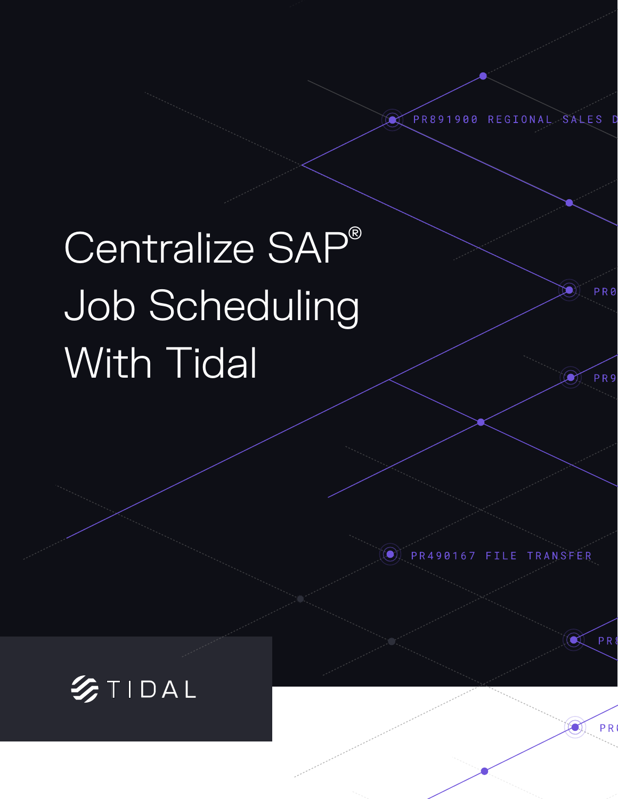REGIONAL SALE **PR891** 900

# Centralize SAP® Job Scheduling With Tidal



PR490167 FILE TRANSFER

PR<sub>9</sub>

PR<sub>8</sub>

**PR** 

 $\blacksquare$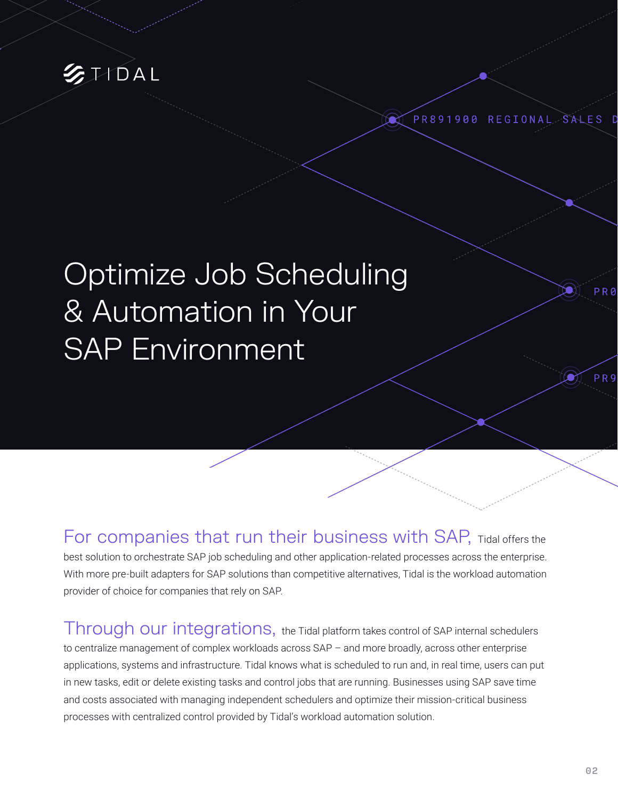

PR891900 REGIONAL SALES

## Optimize Job Scheduling & Automation in Your SAP Environment

For companies that run their business with SAP, Tidal offers the best solution to orchestrate SAP job scheduling and other application-related processes across the enterprise. With more pre-built adapters for SAP solutions than competitive alternatives, Tidal is the workload automation provider of choice for companies that rely on SAP.

Through our integrations, the Tidal platform takes control of SAP internal schedulers to centralize management of complex workloads across SAP – and more broadly, across other enterprise applications, systems and infrastructure. Tidal knows what is scheduled to run and, in real time, users can put in new tasks, edit or delete existing tasks and control jobs that are running. Businesses using SAP save time and costs associated with managing independent schedulers and optimize their mission-critical business processes with centralized control provided by Tidal's workload automation solution.

PR<sub>9</sub>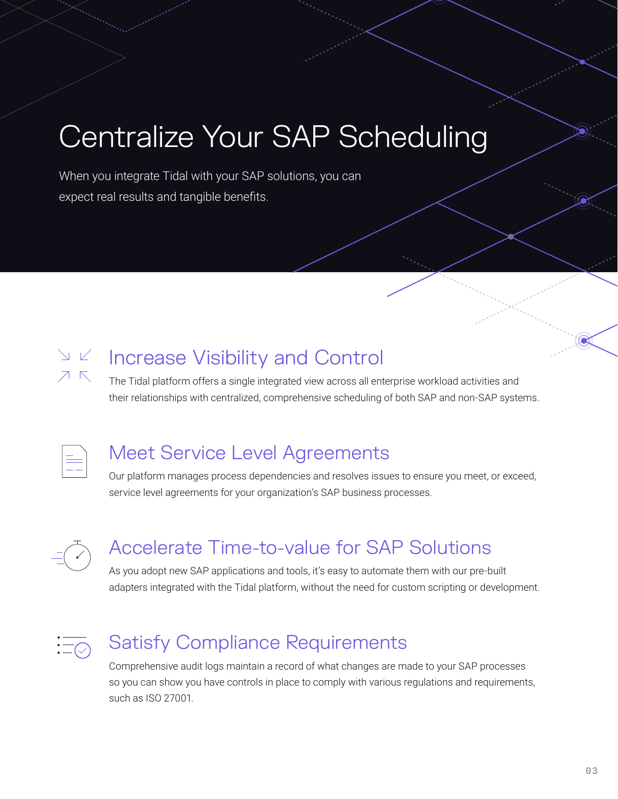## Centralize Your SAP Scheduling

When you integrate Tidal with your SAP solutions, you can expect real results and tangible benefits.



## Increase Visibility and Control

The Tidal platform offers a single integrated view across all enterprise workload activities and their relationships with centralized, comprehensive scheduling of both SAP and non-SAP systems.



#### Meet Service Level Agreements

Our platform manages process dependencies and resolves issues to ensure you meet, or exceed, service level agreements for your organization's SAP business processes.



### Accelerate Time-to-value for SAP Solutions

As you adopt new SAP applications and tools, it's easy to automate them with our pre-built adapters integrated with the Tidal platform, without the need for custom scripting or development.



### Satisfy Compliance Requirements

Comprehensive audit logs maintain a record of what changes are made to your SAP processes so you can show you have controls in place to comply with various regulations and requirements, such as ISO 27001.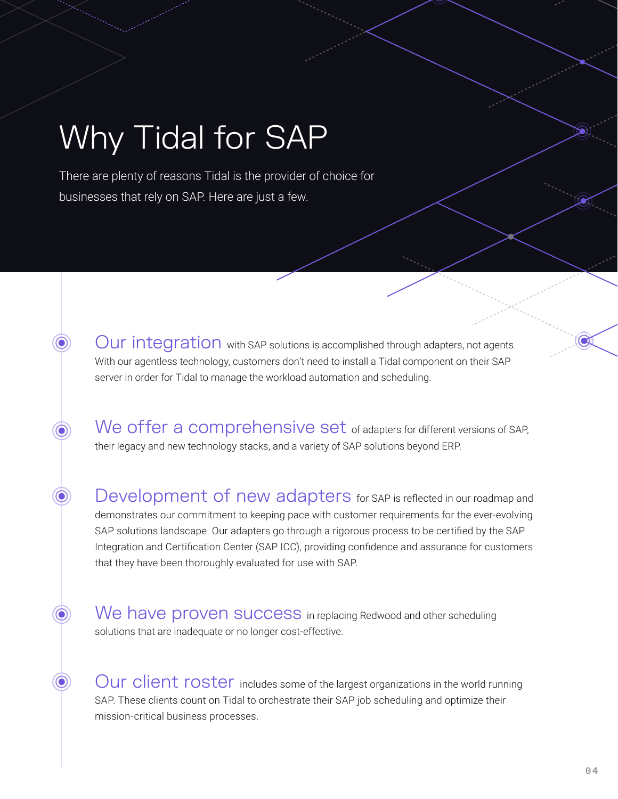## Why Tidal for SAP

 $\circledcirc$ 

 $\odot$ 

 $\odot)$ 

 $\odot$ 

There are plenty of reasons Tidal is the provider of choice for businesses that rely on SAP. Here are just a few.

> Our integration with SAP solutions is accomplished through adapters, not agents. With our agentless technology, customers don't need to install a Tidal component on their SAP server in order for Tidal to manage the workload automation and scheduling.

We offer a comprehensive set of adapters for different versions of SAP, their legacy and new technology stacks, and a variety of SAP solutions beyond ERP.

Development of new adapters for SAP is reflected in our roadmap and demonstrates our commitment to keeping pace with customer requirements for the ever-evolving SAP solutions landscape. Our adapters go through a rigorous process to be certified by the SAP Integration and Certification Center (SAP ICC), providing confidence and assurance for customers that they have been thoroughly evaluated for use with SAP.

We have proven success in replacing Redwood and other scheduling solutions that are inadequate or no longer cost-effective.

Our client roster includes some of the largest organizations in the world running SAP. These clients count on Tidal to orchestrate their SAP job scheduling and optimize their mission-critical business processes.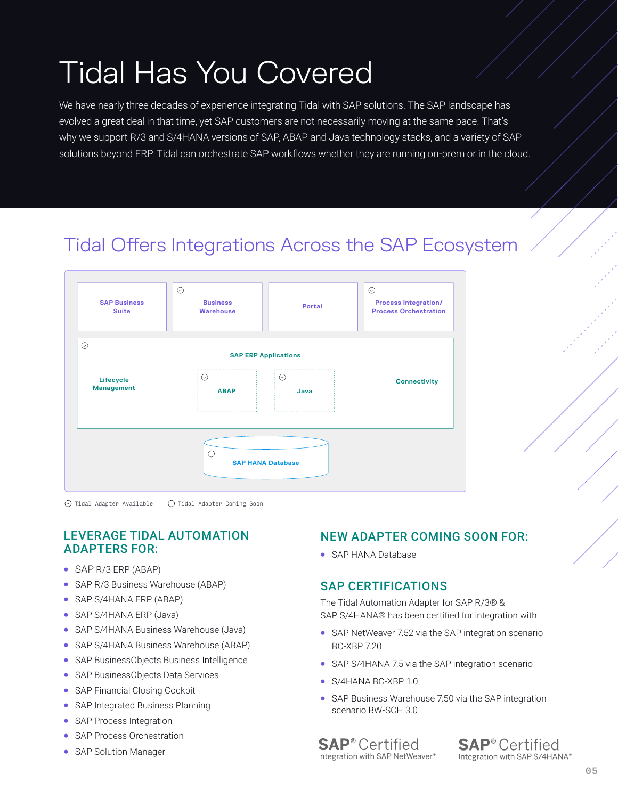## Tidal Has You Covered

We have nearly three decades of experience integrating Tidal with SAP solutions. The SAP landscape has evolved a great deal in that time, yet SAP customers are not necessarily moving at the same pace. That's why we support R/3 and S/4HANA versions of SAP, ABAP and Java technology stacks, and a variety of SAP solutions beyond ERP. Tidal can orchestrate SAP workflows whether they are running on-prem or in the cloud.

### Tidal Offers Integrations Across the SAP Ecosystem



 $\odot$  Tidal Adapter Available Tidal Adapter Coming Soon

#### LEVERAGE TIDAL AUTOMATION ADAPTERS FOR:

- SAP R/3 ERP (ABAP)
- SAP R/3 Business Warehouse (ABAP)
- SAP S/4HANA ERP (ABAP)
- SAP S/4HANA ERP (Java)
- SAP S/4HANA Business Warehouse (Java)
- SAP S/4HANA Business Warehouse (ABAP)
- SAP BusinessObjects Business Intelligence
- SAP BusinessObjects Data Services
- SAP Financial Closing Cockpit
- SAP Integrated Business Planning
- SAP Process Integration
- SAP Process Orchestration
- SAP Solution Manager

#### NEW ADAPTER COMING SOON FOR:

• SAP HANA Database

#### SAP CERTIFICATIONS

The Tidal Automation Adapter for SAP R/3® & SAP S/4HANA® has been certified for integration with:

- SAP NetWeaver 7.52 via the SAP integration scenario BC-XBP 7.20
- SAP S/4HANA 7.5 via the SAP integration scenario
- S/4HANA BC-XBP 1.0
- SAP Business Warehouse 7.50 via the SAP integration scenario BW-SCH 3.0

**SAP**<sup>®</sup> Certified Integration with SAP NetWeaver®

**SAP**<sup>®</sup> Certified Integration with SAP S/4HANA®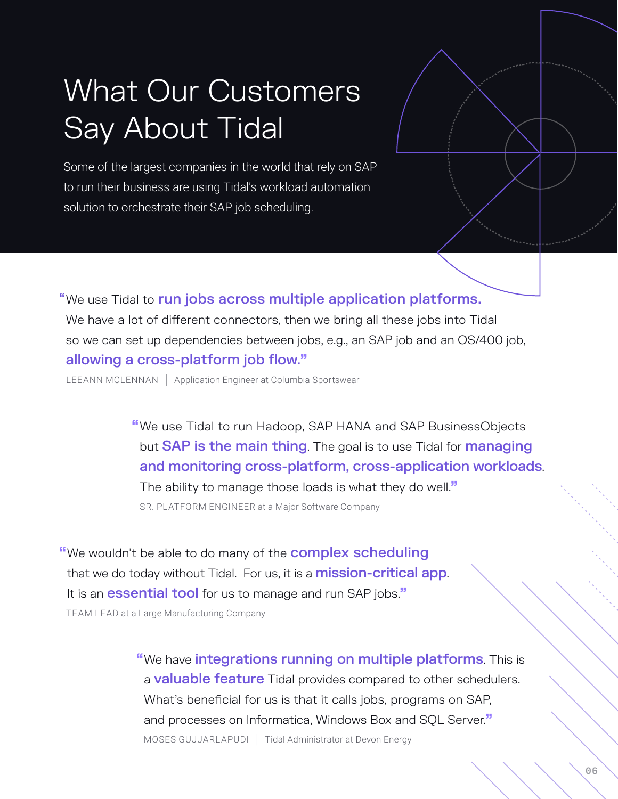## What Our Customers Say About Tidal

Some of the largest companies in the world that rely on SAP to run their business are using Tidal's workload automation solution to orchestrate their SAP job scheduling.

"We use Tidal to run jobs across multiple application platforms. We have a lot of different connectors, then we bring all these jobs into Tidal so we can set up dependencies between jobs, e.g., an SAP job and an OS/400 job, allowing a cross-platform job flow."

LEEANN MCLENNAN | Application Engineer at Columbia Sportswear

"We use Tidal to run Hadoop, SAP HANA and SAP BusinessObjects but **SAP is the main thing**. The goal is to use Tidal for **managing** and monitoring cross-platform, cross-application workloads. The ability to manage those loads is what they do well." SR. PLATFORM ENGINEER at a Major Software Company

"We wouldn't be able to do many of the **complex scheduling** that we do today without Tidal. For us, it is a **mission-critical app**. It is an **essential tool** for us to manage and run SAP jobs." TEAM LEAD at a Large Manufacturing Company

> "We have integrations running on multiple platforms. This is a **valuable feature** Tidal provides compared to other schedulers. What's beneficial for us is that it calls jobs, programs on SAP, and processes on Informatica, Windows Box and SOL Server." MOSES GUJJARLAPUDI | Tidal Administrator at Devon Energy